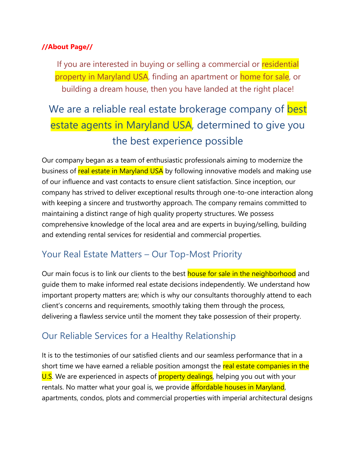#### **//About Page//**

If you are interested in buying or selling a commercial or residential property in Maryland USA, finding an apartment or home for sale, or building a dream house, then you have landed at the right place!

# We are a reliable real estate brokerage company of best estate agents in Maryland USA, determined to give you the best experience possible

Our company began as a team of enthusiastic professionals aiming to modernize the business of real estate in Maryland USA by following innovative models and making use of our influence and vast contacts to ensure client satisfaction. Since inception, our company has strived to deliver exceptional results through one-to-one interaction along with keeping a sincere and trustworthy approach. The company remains committed to maintaining a distinct range of high quality property structures. We possess comprehensive knowledge of the local area and are experts in buying/selling, building and extending rental services for residential and commercial properties.

## Your Real Estate Matters – Our Top-Most Priority

Our main focus is to link our clients to the best house for sale in the neighborhood and guide them to make informed real estate decisions independently. We understand how important property matters are; which is why our consultants thoroughly attend to each client's concerns and requirements, smoothly taking them through the process, delivering a flawless service until the moment they take possession of their property.

## Our Reliable Services for a Healthy Relationship

It is to the testimonies of our satisfied clients and our seamless performance that in a short time we have earned a reliable position amongst the real estate companies in the U.S. We are experienced in aspects of **property dealings**, helping you out with your rentals. No matter what your goal is, we provide affordable houses in Maryland, apartments, condos, plots and commercial properties with imperial architectural designs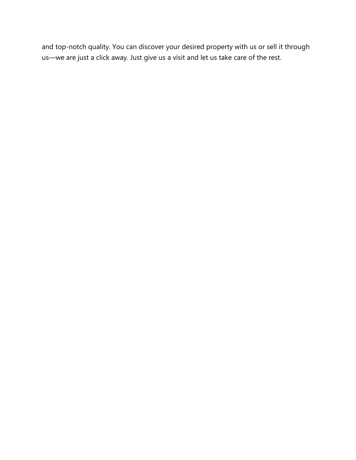and top-notch quality. You can discover your desired property with us or sell it through us—we are just a click away. Just give us a visit and let us take care of the rest.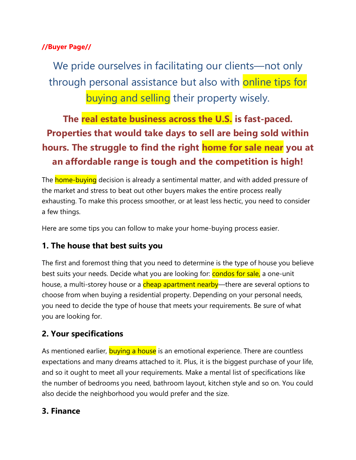#### **//Buyer Page//**

We pride ourselves in facilitating our clients—not only through personal assistance but also with online tips for buying and selling their property wisely.

## **The real estate business across the U.S. is fast-paced. Properties that would take days to sell are being sold within hours. The struggle to find the right home for sale near you at an affordable range is tough and the competition is high!**

The **home-buying** decision is already a sentimental matter, and with added pressure of the market and stress to beat out other buyers makes the entire process really exhausting. To make this process smoother, or at least less hectic, you need to consider a few things.

Here are some tips you can follow to make your home-buying process easier.

#### **1. The house that best suits you**

The first and foremost thing that you need to determine is the type of house you believe best suits your needs. Decide what you are looking for: condos for sale, a one-unit house, a multi-storey house or a cheap apartment nearby—there are several options to choose from when buying a residential property. Depending on your personal needs, you need to decide the type of house that meets your requirements. Be sure of what you are looking for.

#### **2. Your specifications**

As mentioned earlier, buying a house is an emotional experience. There are countless expectations and many dreams attached to it. Plus, it is the biggest purchase of your life, and so it ought to meet all your requirements. Make a mental list of specifications like the number of bedrooms you need, bathroom layout, kitchen style and so on. You could also decide the neighborhood you would prefer and the size.

#### **3. Finance**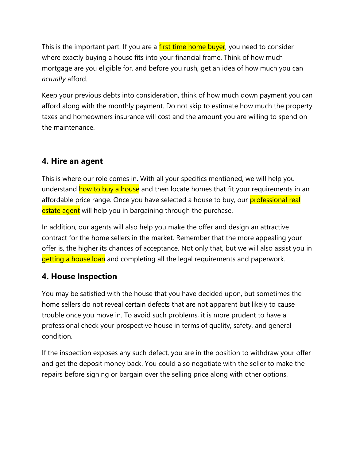This is the important part. If you are a first time home buyer, you need to consider where exactly buying a house fits into your financial frame. Think of how much mortgage are you eligible for, and before you rush, get an idea of how much you can *actually* afford.

Keep your previous debts into consideration, think of how much down payment you can afford along with the monthly payment. Do not skip to estimate how much the property taxes and homeowners insurance will cost and the amount you are willing to spend on the maintenance.

#### **4. Hire an agent**

This is where our role comes in. With all your specifics mentioned, we will help you understand how to buy a house and then locate homes that fit your requirements in an affordable price range. Once you have selected a house to buy, our **professional real** estate agent will help you in bargaining through the purchase.

In addition, our agents will also help you make the offer and design an attractive contract for the home sellers in the market. Remember that the more appealing your offer is, the higher its chances of acceptance. Not only that, but we will also assist you in getting a house loan and completing all the legal requirements and paperwork.

#### **4. House Inspection**

You may be satisfied with the house that you have decided upon, but sometimes the home sellers do not reveal certain defects that are not apparent but likely to cause trouble once you move in. To avoid such problems, it is more prudent to have a professional check your prospective house in terms of quality, safety, and general condition.

If the inspection exposes any such defect, you are in the position to withdraw your offer and get the deposit money back. You could also negotiate with the seller to make the repairs before signing or bargain over the selling price along with other options.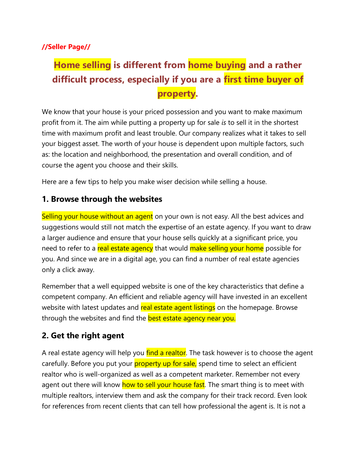#### **//Seller Page//**

## **Home selling is different from home buying and a rather difficult process, especially if you are a first time buyer of property.**

We know that your house is your priced possession and you want to make maximum profit from it. The aim while putting a property up for sale *is* to sell it in the shortest time with maximum profit and least trouble. Our company realizes what it takes to sell your biggest asset. The worth of your house is dependent upon multiple factors, such as: the location and neighborhood, the presentation and overall condition, and of course the agent you choose and their skills.

Here are a few tips to help you make wiser decision while selling a house.

#### **1. Browse through the websites**

Selling your house without an agent on your own is not easy. All the best advices and suggestions would still not match the expertise of an estate agency. If you want to draw a larger audience and ensure that your house sells quickly at a significant price, you need to refer to a real estate agency that would make selling your home possible for you. And since we are in a digital age, you can find a number of real estate agencies only a click away.

Remember that a well equipped website is one of the key characteristics that define a competent company. An efficient and reliable agency will have invested in an excellent website with latest updates and real estate agent listings on the homepage. Browse through the websites and find the **best estate agency near you.** 

#### **2. Get the right agent**

A real estate agency will help you find a realtor. The task however is to choose the agent carefully. Before you put your property up for sale, spend time to select an efficient realtor who is well-organized as well as a competent marketer. Remember not every agent out there will know how to sell your house fast. The smart thing is to meet with multiple realtors, interview them and ask the company for their track record. Even look for references from recent clients that can tell how professional the agent is. It is not a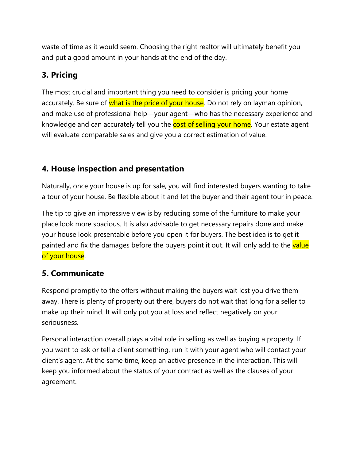waste of time as it would seem. Choosing the right realtor will ultimately benefit you and put a good amount in your hands at the end of the day.

### **3. Pricing**

The most crucial and important thing you need to consider is pricing your home accurately. Be sure of what is the price of your house. Do not rely on layman opinion, and make use of professional help—your agent—who has the necessary experience and knowledge and can accurately tell you the cost of selling your home. Your estate agent will evaluate comparable sales and give you a correct estimation of value.

### **4. House inspection and presentation**

Naturally, once your house is up for sale, you will find interested buyers wanting to take a tour of your house. Be flexible about it and let the buyer and their agent tour in peace.

The tip to give an impressive view is by reducing some of the furniture to make your place look more spacious. It is also advisable to get necessary repairs done and make your house look presentable before you open it for buyers. The best idea is to get it painted and fix the damages before the buyers point it out. It will only add to the value of your house.

## **5. Communicate**

Respond promptly to the offers without making the buyers wait lest you drive them away. There is plenty of property out there, buyers do not wait that long for a seller to make up their mind. It will only put you at loss and reflect negatively on your seriousness.

Personal interaction overall plays a vital role in selling as well as buying a property. If you want to ask or tell a client something, run it with your agent who will contact your client's agent. At the same time, keep an active presence in the interaction. This will keep you informed about the status of your contract as well as the clauses of your agreement.